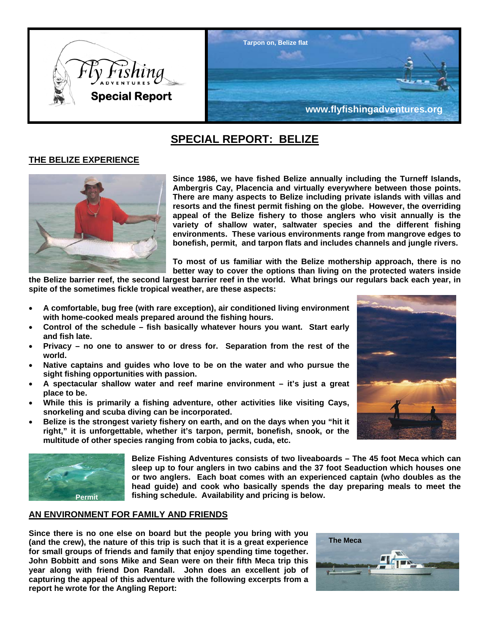

# **SPECIAL REPORT: BELIZE**

# **THE BELIZE EXPERIENCE**



**Since 1986, we have fished Belize annually including the Turneff Islands, Ambergris Cay, Placencia and virtually everywhere between those points. There are many aspects to Belize including private islands with villas and resorts and the finest permit fishing on the globe. However, the overriding appeal of the Belize fishery to those anglers who visit annually is the variety of shallow water, saltwater species and the different fishing environments. These various environments range from mangrove edges to bonefish, permit, and tarpon flats and includes channels and jungle rivers.** 

**To most of us familiar with the Belize mothership approach, there is no better way to cover the options than living on the protected waters inside** 

**the Belize barrier reef, the second largest barrier reef in the world. What brings our regulars back each year, in spite of the sometimes fickle tropical weather, are these aspects:** 

- **A comfortable, bug free (with rare exception), air conditioned living environment with home-cooked meals prepared around the fishing hours.**
- **Control of the schedule fish basically whatever hours you want. Start early and fish late.**
- **Privacy no one to answer to or dress for. Separation from the rest of the world.**
- **Native captains and guides who love to be on the water and who pursue the sight fishing opportunities with passion.**
- **A spectacular shallow water and reef marine environment it's just a great place to be.**
- **While this is primarily a fishing adventure, other activities like visiting Cays, snorkeling and scuba diving can be incorporated.**
- **Belize is the strongest variety fishery on earth, and on the days when you "hit it right," it is unforgettable, whether it's tarpon, permit, bonefish, snook, or the multitude of other species ranging from cobia to jacks, cuda, etc.**



**Belize Fishing Adventures consists of two liveaboards – The 45 foot Meca which can sleep up to four anglers in two cabins and the 37 foot Seaduction which houses one or two anglers. Each boat comes with an experienced captain (who doubles as the head guide) and cook who basically spends the day preparing meals to meet the Permit fishing schedule. Availability and pricing is below.** 

# **AN ENVIRONMENT FOR FAMILY AND FRIENDS**

**Since there is no one else on board but the people you bring with you (and the crew), the nature of this trip is such that it is a great experience for small groups of friends and family that enjoy spending time together. John Bobbitt and sons Mike and Sean were on their fifth Meca trip this year along with friend Don Randall. John does an excellent job of capturing the appeal of this adventure with the following excerpts from a report he wrote for the Angling Report:** 



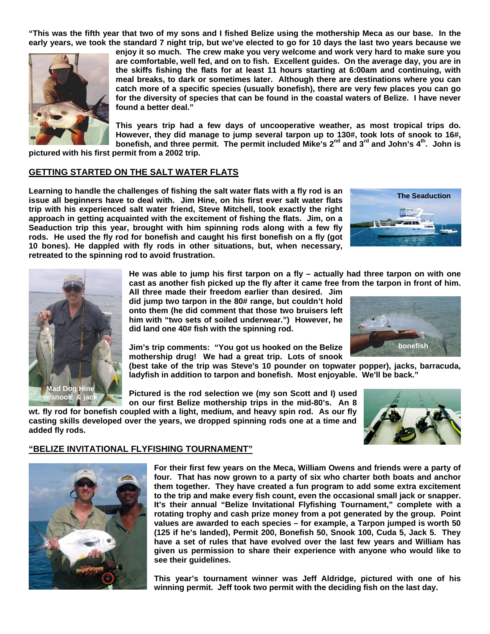**"This was the fifth year that two of my sons and I fished Belize using the mothership Meca as our base. In the early years, we took the standard 7 night trip, but we've elected to go for 10 days the last two years because we** 



**enjoy it so much. The crew make you very welcome and work very hard to make sure you are comfortable, well fed, and on to fish. Excellent guides. On the average day, you are in the skiffs fishing the flats for at least 11 hours starting at 6:00am and continuing, with meal breaks, to dark or sometimes later. Although there are destinations where you can catch more of a specific species (usually bonefish), there are very few places you can go for the diversity of species that can be found in the coastal waters of Belize. I have never found a better deal."** 

**This years trip had a few days of uncooperative weather, as most tropical trips do. However, they did manage to jump several tarpon up to 130#, took lots of snook to 16#, bonefish, and three permit. The permit included Mike's 2nd and 3rd and John's 4th. John is** 

**pictured with his first permit from a 2002 trip.** 

#### **GETTING STARTED ON THE SALT WATER FLATS**

**Learning to handle the challenges of fishing the salt water flats with a fly rod is an issue all beginners have to deal with. Jim Hine, on his first ever salt water flats trip with his experienced salt water friend, Steve Mitchell, took exactly the right approach in getting acquainted with the excitement of fishing the flats. Jim, on a Seaduction trip this year, brought with him spinning rods along with a few fly rods. He used the fly rod for bonefish and caught his first bonefish on a fly (got 10 bones). He dappled with fly rods in other situations, but, when necessary, retreated to the spinning rod to avoid frustration.** 



**He was able to jump his first tarpon on a fly – actually had three tarpon on with one cast as another fish picked up the fly after it came free from the tarpon in front of him.** 

**All three made their freedom earlier than desired. Jim did jump two tarpon in the 80# range, but couldn't hold onto them (he did comment that those two bruisers left him with "two sets of soiled underwear.") However, he did land one 40# fish with the spinning rod.** 

**Jim's trip comments: "You got us hooked on the Belize mothership drug! We had a great trip. Lots of snook** 

**(best take of the trip was Steve's 10 pounder on topwater popper), jacks, barracuda, ladyfish in addition to tarpon and bonefish. Most enjoyable. We'll be back."** 

**Pictured is the rod selection we (my son Scott and I) used on our first Belize mothership trips in the mid-80's. An 8** 

**wt. fly rod for bonefish coupled with a light, medium, and heavy spin rod. As our fly casting skills developed over the years, we dropped spinning rods one at a time and added fly rods.** 



#### **"BELIZE INVITATIONAL FLYFISHING TOURNAMENT"**



**Mad Dog Hine w/snook & jack** 

> **For their first few years on the Meca, William Owens and friends were a party of four. That has now grown to a party of six who charter both boats and anchor them together. They have created a fun program to add some extra excitement to the trip and make every fish count, even the occasional small jack or snapper. It's their annual "Belize Invitational Flyfishing Tournament," complete with a rotating trophy and cash prize money from a pot generated by the group. Point values are awarded to each species – for example, a Tarpon jumped is worth 50 (125 if he's landed), Permit 200, Bonefish 50, Snook 100, Cuda 5, Jack 5. They have a set of rules that have evolved over the last few years and William has given us permission to share their experience with anyone who would like to see their guidelines.**

> **This year's tournament winner was Jeff Aldridge, pictured with one of his winning permit. Jeff took two permit with the deciding fish on the last day.**

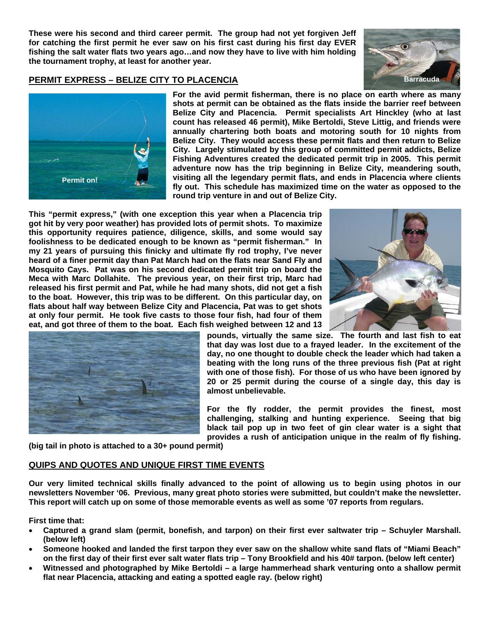**These were his second and third career permit. The group had not yet forgiven Jeff for catching the first permit he ever saw on his first cast during his first day EVER fishing the salt water flats two years ago…and now they have to live with him holding the tournament trophy, at least for another year.** 



## **PERMIT EXPRESS – BELIZE CITY TO PLACENCIA BALLACE AND RESERVE A BALLACE AND RESERVENT BATTACUDE**



**For the avid permit fisherman, there is no place on earth where as many shots at permit can be obtained as the flats inside the barrier reef between Belize City and Placencia. Permit specialists Art Hinckley (who at last count has released 46 permit), Mike Bertoldi, Steve Littig, and friends were annually chartering both boats and motoring south for 10 nights from Belize City. They would access these permit flats and then return to Belize City. Largely stimulated by this group of committed permit addicts, Belize Fishing Adventures created the dedicated permit trip in 2005. This permit adventure now has the trip beginning in Belize City, meandering south, visiting all the legendary permit flats, and ends in Placencia where clients fly out. This schedule has maximized time on the water as opposed to the round trip venture in and out of Belize City.** 

**This "permit express," (with one exception this year when a Placencia trip got hit by very poor weather) has provided lots of permit shots. To maximize this opportunity requires patience, diligence, skills, and some would say foolishness to be dedicated enough to be known as "permit fisherman." In my 21 years of pursuing this finicky and ultimate fly rod trophy, I've never heard of a finer permit day than Pat March had on the flats near Sand Fly and Mosquito Cays. Pat was on his second dedicated permit trip on board the Meca with Marc Dollahite. The previous year, on their first trip, Marc had released his first permit and Pat, while he had many shots, did not get a fish to the boat. However, this trip was to be different. On this particular day, on flats about half way between Belize City and Placencia, Pat was to get shots at only four permit. He took five casts to those four fish, had four of them eat, and got three of them to the boat. Each fish weighed between 12 and 13** 





**pounds, virtually the same size. The fourth and last fish to eat that day was lost due to a frayed leader. In the excitement of the day, no one thought to double check the leader which had taken a beating with the long runs of the three previous fish (Pat at right with one of those fish). For those of us who have been ignored by 20 or 25 permit during the course of a single day, this day is almost unbelievable.** 

**For the fly rodder, the permit provides the finest, most challenging, stalking and hunting experience. Seeing that big black tail pop up in two feet of gin clear water is a sight that provides a rush of anticipation unique in the realm of fly fishing.** 

**(big tail in photo is attached to a 30+ pound permit)** 

# **QUIPS AND QUOTES AND UNIQUE FIRST TIME EVENTS**

**Our very limited technical skills finally advanced to the point of allowing us to begin using photos in our newsletters November '06. Previous, many great photo stories were submitted, but couldn't make the newsletter. This report will catch up on some of those memorable events as well as some '07 reports from regulars.** 

**First time that:** 

- **Captured a grand slam (permit, bonefish, and tarpon) on their first ever saltwater trip Schuyler Marshall. (below left)**
- **Someone hooked and landed the first tarpon they ever saw on the shallow white sand flats of "Miami Beach" on the first day of their first ever salt water flats trip – Tony Brookfield and his 40# tarpon. (below left center)**
- **Witnessed and photographed by Mike Bertoldi a large hammerhead shark venturing onto a shallow permit flat near Placencia, attacking and eating a spotted eagle ray. (below right)**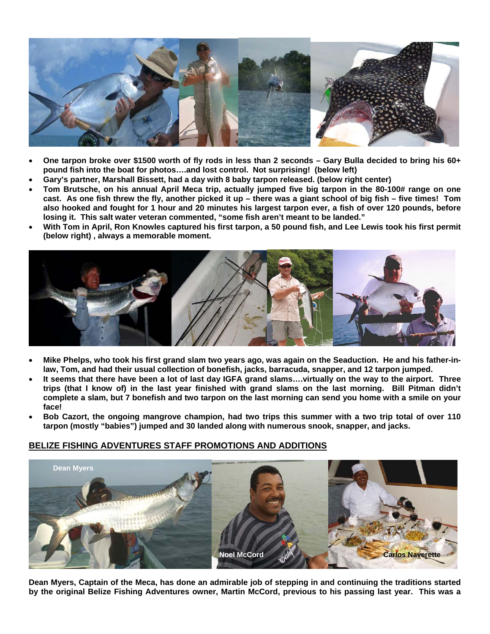

- **One tarpon broke over \$1500 worth of fly rods in less than 2 seconds Gary Bulla decided to bring his 60+ pound fish into the boat for photos….and lost control. Not surprising! (below left)**
- **Gary's partner, Marshall Bissett, had a day with 8 baby tarpon released. (below right center)**
- **Tom Brutsche, on his annual April Meca trip, actually jumped five big tarpon in the 80-100# range on one cast. As one fish threw the fly, another picked it up – there was a giant school of big fish – five times! Tom also hooked and fought for 1 hour and 20 minutes his largest tarpon ever, a fish of over 120 pounds, before losing it. This salt water veteran commented, "some fish aren't meant to be landed."**
- **With Tom in April, Ron Knowles captured his first tarpon, a 50 pound fish, and Lee Lewis took his first permit (below right) , always a memorable moment.**



- **Mike Phelps, who took his first grand slam two years ago, was again on the Seaduction. He and his father-inlaw, Tom, and had their usual collection of bonefish, jacks, barracuda, snapper, and 12 tarpon jumped.**
- **It seems that there have been a lot of last day IGFA grand slams….virtually on the way to the airport. Three trips (that I know of) in the last year finished with grand slams on the last morning. Bill Pitman didn't complete a slam, but 7 bonefish and two tarpon on the last morning can send you home with a smile on your face!**
- **Bob Cazort, the ongoing mangrove champion, had two trips this summer with a two trip total of over 110 tarpon (mostly "babies") jumped and 30 landed along with numerous snook, snapper, and jacks.**

# **BELIZE FISHING ADVENTURES STAFF PROMOTIONS AND ADDITIONS**



**Dean Myers, Captain of the Meca, has done an admirable job of stepping in and continuing the traditions started by the original Belize Fishing Adventures owner, Martin McCord, previous to his passing last year. This was a**